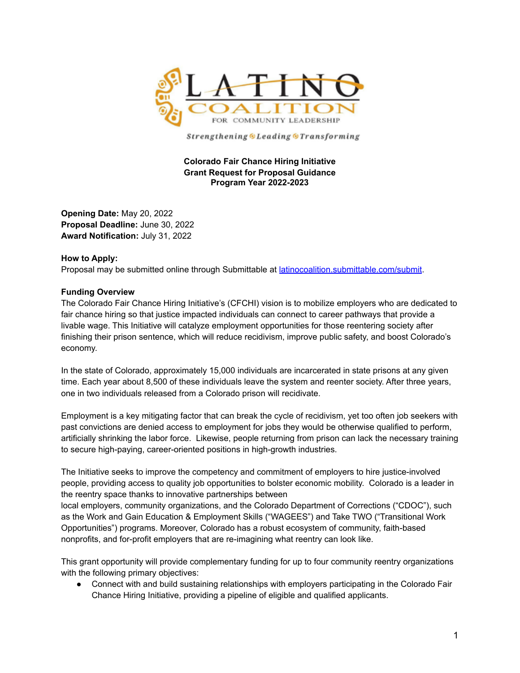

Strengthening OLeading OTransforming

#### **Colorado Fair Chance Hiring Initiative Grant Request for Proposal Guidance Program Year 2022-2023**

**Opening Date:** May 20, 2022 **Proposal Deadline:** June 30, 2022 **Award Notification:** July 31, 2022

#### **How to Apply:**

Proposal may be submitted online through Submittable at [latinocoalition.submittable.com/submit](https://latinocoalition.submittable.com/submit).

#### **Funding Overview**

The Colorado Fair Chance Hiring Initiative's (CFCHI) vision is to mobilize employers who are dedicated to fair chance hiring so that justice impacted individuals can connect to career pathways that provide a livable wage. This Initiative will catalyze employment opportunities for those reentering society after finishing their prison sentence, which will reduce recidivism, improve public safety, and boost Colorado's economy.

In the state of Colorado, approximately 15,000 individuals are incarcerated in state prisons at any given time. Each year about 8,500 of these individuals leave the system and reenter society. After three years, one in two individuals released from a Colorado prison will recidivate.

Employment is a key mitigating factor that can break the cycle of recidivism, yet too often job seekers with past convictions are denied access to employment for jobs they would be otherwise qualified to perform, artificially shrinking the labor force. Likewise, people returning from prison can lack the necessary training to secure high-paying, career-oriented positions in high-growth industries.

The Initiative seeks to improve the competency and commitment of employers to hire justice-involved people, providing access to quality job opportunities to bolster economic mobility. Colorado is a leader in the reentry space thanks to innovative partnerships between

local employers, community organizations, and the Colorado Department of Corrections ("CDOC"), such as the Work and Gain Education & Employment Skills ("WAGEES") and Take TWO ("Transitional Work Opportunities") programs. Moreover, Colorado has a robust ecosystem of community, faith-based nonprofits, and for-profit employers that are re-imagining what reentry can look like.

This grant opportunity will provide complementary funding for up to four community reentry organizations with the following primary objectives:

● Connect with and build sustaining relationships with employers participating in the Colorado Fair Chance Hiring Initiative, providing a pipeline of eligible and qualified applicants.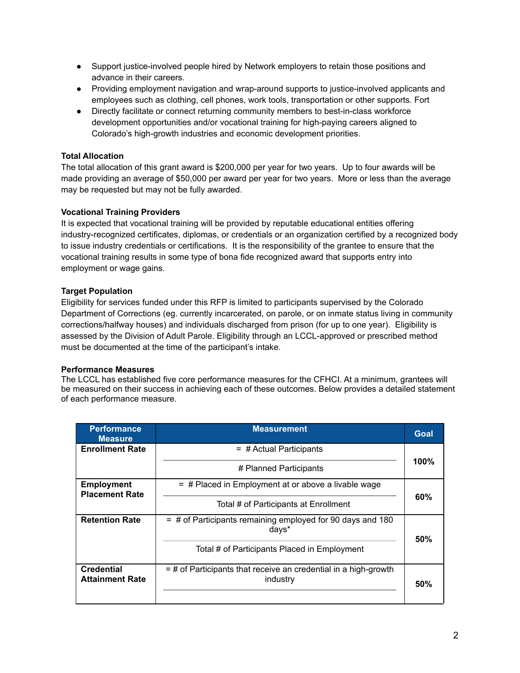- Support justice-involved people hired by Network employers to retain those positions and advance in their careers.
- Providing employment navigation and wrap-around supports to justice-involved applicants and employees such as clothing, cell phones, work tools, transportation or other supports. Fort
- Directly facilitate or connect returning community members to best-in-class workforce development opportunities and/or vocational training for high-paying careers aligned to Colorado's high-growth industries and economic development priorities.

## **Total Allocation**

The total allocation of this grant award is \$200,000 per year for two years. Up to four awards will be made providing an average of \$50,000 per award per year for two years. More or less than the average may be requested but may not be fully awarded.

## **Vocational Training Providers**

It is expected that vocational training will be provided by reputable educational entities offering industry-recognized certificates, diplomas, or credentials or an organization certified by a recognized body to issue industry credentials or certifications. It is the responsibility of the grantee to ensure that the vocational training results in some type of bona fide recognized award that supports entry into employment or wage gains.

## **Target Population**

Eligibility for services funded under this RFP is limited to participants supervised by the Colorado Department of Corrections (eg. currently incarcerated, on parole, or on inmate status living in community corrections/halfway houses) and individuals discharged from prison (for up to one year). Eligibility is assessed by the Division of Adult Parole. Eligibility through an LCCL-approved or prescribed method must be documented at the time of the participant's intake.

#### **Performance Measures**

The LCCL has established five core performance measures for the CFHCI. At a minimum, grantees will be measured on their success in achieving each of these outcomes. Below provides a detailed statement of each performance measure.

| <b>Performance</b><br><b>Measure</b>        | <b>Measurement</b>                                                            | <b>Goal</b> |  |
|---------------------------------------------|-------------------------------------------------------------------------------|-------------|--|
| <b>Enrollment Rate</b>                      | $=$ # Actual Participants                                                     |             |  |
|                                             | # Planned Participants                                                        | 100%        |  |
| <b>Employment</b><br><b>Placement Rate</b>  | $=$ # Placed in Employment at or above a livable wage                         |             |  |
|                                             | Total # of Participants at Enrollment                                         | 60%         |  |
| <b>Retention Rate</b>                       | $=$ # of Participants remaining employed for 90 days and 180<br>days*         | 50%         |  |
|                                             | Total # of Participants Placed in Employment                                  |             |  |
| <b>Credential</b><br><b>Attainment Rate</b> | $=$ # of Participants that receive an credential in a high-growth<br>industry | 50%         |  |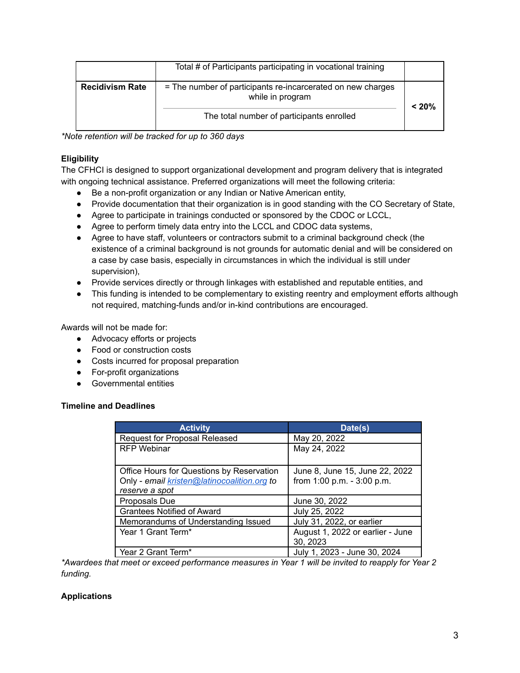|                        | Total # of Participants participating in vocational training                    |       |
|------------------------|---------------------------------------------------------------------------------|-------|
| <b>Recidivism Rate</b> | = The number of participants re-incarcerated on new charges<br>while in program | < 20% |
|                        | The total number of participants enrolled                                       |       |

*\*Note retention will be tracked for up to 360 days*

# **Eligibility**

The CFHCI is designed to support organizational development and program delivery that is integrated with ongoing technical assistance. Preferred organizations will meet the following criteria:

- Be a non-profit organization or any Indian or Native American entity,
- Provide documentation that their organization is in good standing with the CO Secretary of State,
- Agree to participate in trainings conducted or sponsored by the CDOC or LCCL,
- Agree to perform timely data entry into the LCCL and CDOC data systems,
- Agree to have staff, volunteers or contractors submit to a criminal background check (the existence of a criminal background is not grounds for automatic denial and will be considered on a case by case basis, especially in circumstances in which the individual is still under supervision),
- Provide services directly or through linkages with established and reputable entities, and
- This funding is intended to be complementary to existing reentry and employment efforts although not required, matching-funds and/or in-kind contributions are encouraged.

Awards will not be made for:

- Advocacy efforts or projects
- Food or construction costs
- Costs incurred for proposal preparation
- For-profit organizations
- Governmental entities

#### **Timeline and Deadlines**

| <b>Activity</b>                             | Date(s)                          |
|---------------------------------------------|----------------------------------|
| <b>Request for Proposal Released</b>        | May 20, 2022                     |
| <b>RFP Webinar</b>                          | May 24, 2022                     |
|                                             |                                  |
| Office Hours for Questions by Reservation   | June 8, June 15, June 22, 2022   |
| Only - email kristen@latinocoalition.org to | from 1:00 p.m. - 3:00 p.m.       |
| reserve a spot                              |                                  |
| Proposals Due                               | June 30, 2022                    |
| <b>Grantees Notified of Award</b>           | July 25, 2022                    |
| Memorandums of Understanding Issued         | July 31, 2022, or earlier        |
| Year 1 Grant Term*                          | August 1, 2022 or earlier - June |
|                                             | 30, 2023                         |
| Year 2 Grant Term*                          | July 1, 2023 - June 30, 2024     |

*\*Awardees that meet or exceed performance measures in Year 1 will be invited to reapply for Year 2 funding.*

#### **Applications**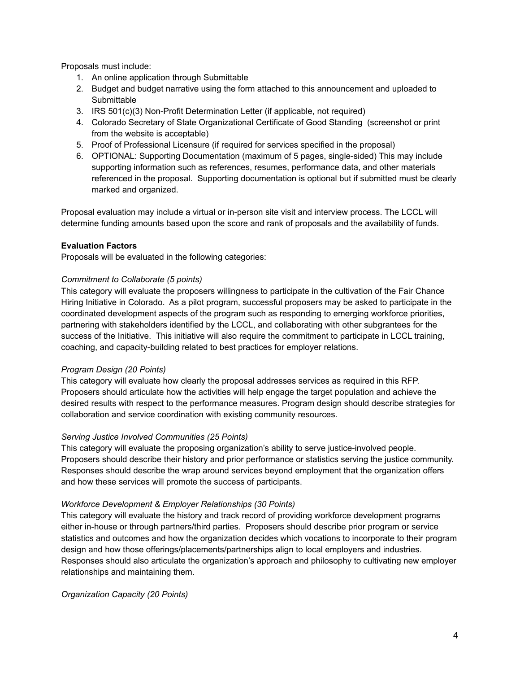Proposals must include:

- 1. An online application through Submittable
- 2. Budget and budget narrative using the form attached to this announcement and uploaded to **Submittable**
- 3. IRS 501(c)(3) Non-Profit Determination Letter (if applicable, not required)
- 4. Colorado Secretary of State Organizational Certificate of Good Standing (screenshot or print from the website is acceptable)
- 5. Proof of Professional Licensure (if required for services specified in the proposal)
- 6. OPTIONAL: Supporting Documentation (maximum of 5 pages, single-sided) This may include supporting information such as references, resumes, performance data, and other materials referenced in the proposal. Supporting documentation is optional but if submitted must be clearly marked and organized.

Proposal evaluation may include a virtual or in-person site visit and interview process. The LCCL will determine funding amounts based upon the score and rank of proposals and the availability of funds.

#### **Evaluation Factors**

Proposals will be evaluated in the following categories:

#### *Commitment to Collaborate (5 points)*

This category will evaluate the proposers willingness to participate in the cultivation of the Fair Chance Hiring Initiative in Colorado. As a pilot program, successful proposers may be asked to participate in the coordinated development aspects of the program such as responding to emerging workforce priorities, partnering with stakeholders identified by the LCCL, and collaborating with other subgrantees for the success of the Initiative. This initiative will also require the commitment to participate in LCCL training, coaching, and capacity-building related to best practices for employer relations.

#### *Program Design (20 Points)*

This category will evaluate how clearly the proposal addresses services as required in this RFP. Proposers should articulate how the activities will help engage the target population and achieve the desired results with respect to the performance measures. Program design should describe strategies for collaboration and service coordination with existing community resources.

#### *Serving Justice Involved Communities (25 Points)*

This category will evaluate the proposing organization's ability to serve justice-involved people. Proposers should describe their history and prior performance or statistics serving the justice community. Responses should describe the wrap around services beyond employment that the organization offers and how these services will promote the success of participants.

#### *Workforce Development & Employer Relationships (30 Points)*

This category will evaluate the history and track record of providing workforce development programs either in-house or through partners/third parties. Proposers should describe prior program or service statistics and outcomes and how the organization decides which vocations to incorporate to their program design and how those offerings/placements/partnerships align to local employers and industries. Responses should also articulate the organization's approach and philosophy to cultivating new employer relationships and maintaining them.

*Organization Capacity (20 Points)*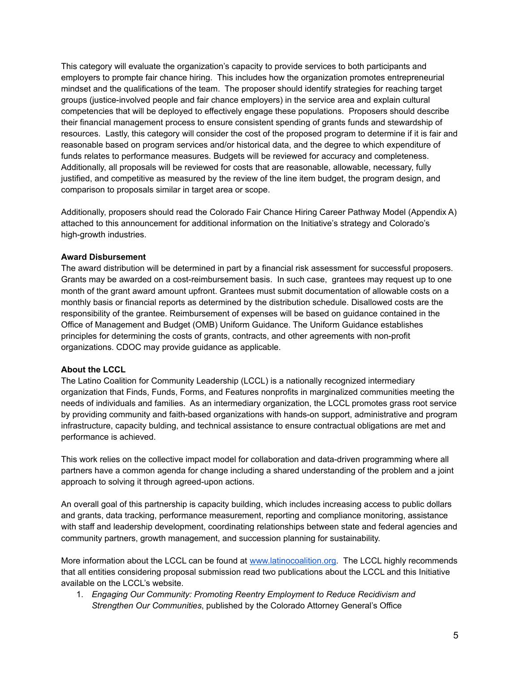This category will evaluate the organization's capacity to provide services to both participants and employers to prompte fair chance hiring. This includes how the organization promotes entrepreneurial mindset and the qualifications of the team. The proposer should identify strategies for reaching target groups (justice-involved people and fair chance employers) in the service area and explain cultural competencies that will be deployed to effectively engage these populations. Proposers should describe their financial management process to ensure consistent spending of grants funds and stewardship of resources. Lastly, this category will consider the cost of the proposed program to determine if it is fair and reasonable based on program services and/or historical data, and the degree to which expenditure of funds relates to performance measures. Budgets will be reviewed for accuracy and completeness. Additionally, all proposals will be reviewed for costs that are reasonable, allowable, necessary, fully justified, and competitive as measured by the review of the line item budget, the program design, and comparison to proposals similar in target area or scope.

Additionally, proposers should read the Colorado Fair Chance Hiring Career Pathway Model (Appendix A) attached to this announcement for additional information on the Initiative's strategy and Colorado's high-growth industries.

### **Award Disbursement**

The award distribution will be determined in part by a financial risk assessment for successful proposers. Grants may be awarded on a cost-reimbursement basis. In such case, grantees may request up to one month of the grant award amount upfront. Grantees must submit documentation of allowable costs on a monthly basis or financial reports as determined by the distribution schedule. Disallowed costs are the responsibility of the grantee. Reimbursement of expenses will be based on guidance contained in the Office of Management and Budget (OMB) Uniform Guidance. The Uniform Guidance establishes principles for determining the costs of grants, contracts, and other agreements with non-profit organizations. CDOC may provide guidance as applicable.

#### **About the LCCL**

The Latino Coalition for Community Leadership (LCCL) is a nationally recognized intermediary organization that Finds, Funds, Forms, and Features nonprofits in marginalized communities meeting the needs of individuals and families. As an intermediary organization, the LCCL promotes grass root service by providing community and faith-based organizations with hands-on support, administrative and program infrastructure, capacity bulding, and technical assistance to ensure contractual obligations are met and performance is achieved.

This work relies on the collective impact model for collaboration and data-driven programming where all partners have a common agenda for change including a shared understanding of the problem and a joint approach to solving it through agreed-upon actions.

An overall goal of this partnership is capacity building, which includes increasing access to public dollars and grants, data tracking, performance measurement, reporting and compliance monitoring, assistance with staff and leadership development, coordinating relationships between state and federal agencies and community partners, growth management, and succession planning for sustainability.

More information about the LCCL can be found at [www.latinocoalition.org.](http://www.latinocoalition.org) The LCCL highly recommends that all entities considering proposal submission read two publications about the LCCL and this Initiative available on the LCCL's website.

1. *Engaging Our Community: Promoting Reentry Employment to Reduce Recidivism and Strengthen Our Communities*, published by the Colorado Attorney General's Office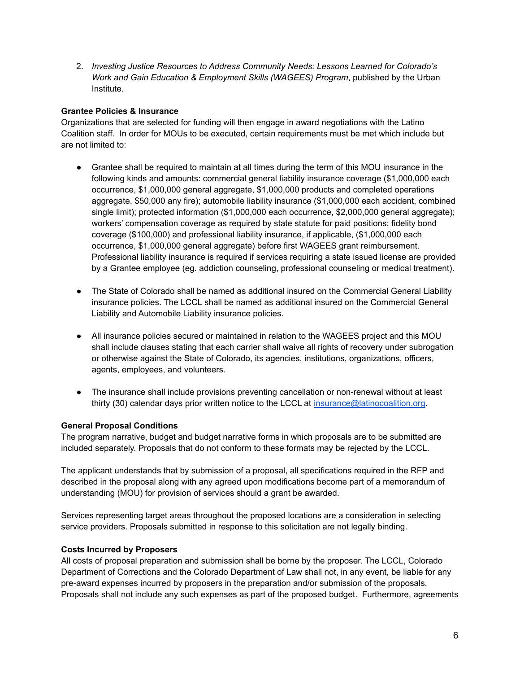2. *Investing Justice Resources to Address Community Needs: Lessons Learned for Colorado's Work and Gain Education & Employment Skills (WAGEES) Program*, published by the Urban Institute.

### **Grantee Policies & Insurance**

Organizations that are selected for funding will then engage in award negotiations with the Latino Coalition staff. In order for MOUs to be executed, certain requirements must be met which include but are not limited to:

- Grantee shall be required to maintain at all times during the term of this MOU insurance in the following kinds and amounts: commercial general liability insurance coverage (\$1,000,000 each occurrence, \$1,000,000 general aggregate, \$1,000,000 products and completed operations aggregate, \$50,000 any fire); automobile liability insurance (\$1,000,000 each accident, combined single limit); protected information (\$1,000,000 each occurrence, \$2,000,000 general aggregate); workers' compensation coverage as required by state statute for paid positions; fidelity bond coverage (\$100,000) and professional liability insurance, if applicable, (\$1,000,000 each occurrence, \$1,000,000 general aggregate) before first WAGEES grant reimbursement. Professional liability insurance is required if services requiring a state issued license are provided by a Grantee employee (eg. addiction counseling, professional counseling or medical treatment).
- The State of Colorado shall be named as additional insured on the Commercial General Liability insurance policies. The LCCL shall be named as additional insured on the Commercial General Liability and Automobile Liability insurance policies.
- All insurance policies secured or maintained in relation to the WAGEES project and this MOU shall include clauses stating that each carrier shall waive all rights of recovery under subrogation or otherwise against the State of Colorado, its agencies, institutions, organizations, officers, agents, employees, and volunteers.
- The insurance shall include provisions preventing cancellation or non-renewal without at least thirty (30) calendar days prior written notice to the LCCL at [insurance@latinocoalition.org.](mailto:insurance@latinocoalition.org)

# **General Proposal Conditions**

The program narrative, budget and budget narrative forms in which proposals are to be submitted are included separately. Proposals that do not conform to these formats may be rejected by the LCCL.

The applicant understands that by submission of a proposal, all specifications required in the RFP and described in the proposal along with any agreed upon modifications become part of a memorandum of understanding (MOU) for provision of services should a grant be awarded.

Services representing target areas throughout the proposed locations are a consideration in selecting service providers. Proposals submitted in response to this solicitation are not legally binding.

#### **Costs Incurred by Proposers**

All costs of proposal preparation and submission shall be borne by the proposer. The LCCL, Colorado Department of Corrections and the Colorado Department of Law shall not, in any event, be liable for any pre-award expenses incurred by proposers in the preparation and/or submission of the proposals. Proposals shall not include any such expenses as part of the proposed budget. Furthermore, agreements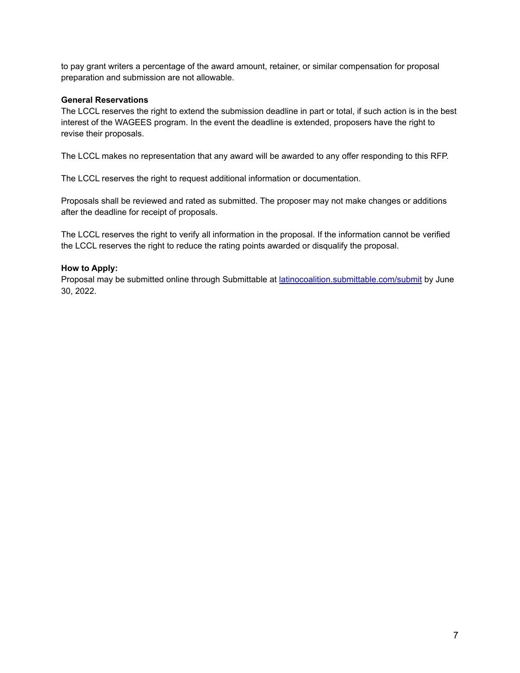to pay grant writers a percentage of the award amount, retainer, or similar compensation for proposal preparation and submission are not allowable.

#### **General Reservations**

The LCCL reserves the right to extend the submission deadline in part or total, if such action is in the best interest of the WAGEES program. In the event the deadline is extended, proposers have the right to revise their proposals.

The LCCL makes no representation that any award will be awarded to any offer responding to this RFP.

The LCCL reserves the right to request additional information or documentation.

Proposals shall be reviewed and rated as submitted. The proposer may not make changes or additions after the deadline for receipt of proposals.

The LCCL reserves the right to verify all information in the proposal. If the information cannot be verified the LCCL reserves the right to reduce the rating points awarded or disqualify the proposal.

#### **How to Apply:**

Proposal may be submitted online through Submittable at *[latinocoalition.submittable.com/submit](https://latinocoalition.submittable.com/submit)* by June 30, 2022.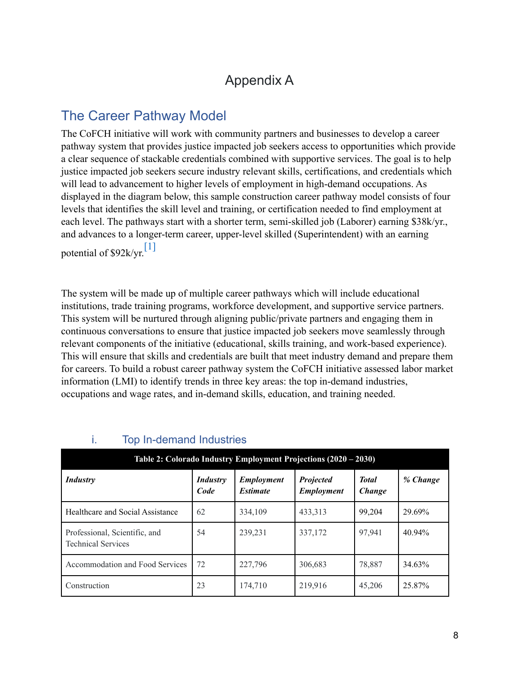# Appendix A

# The Career Pathway Model

The CoFCH initiative will work with community partners and businesses to develop a career pathway system that provides justice impacted job seekers access to opportunities which provide a clear sequence of stackable credentials combined with supportive services. The goal is to help justice impacted job seekers secure industry relevant skills, certifications, and credentials which will lead to advancement to higher levels of employment in high-demand occupations. As displayed in the diagram below, this sample construction career pathway model consists of four levels that identifies the skill level and training, or certification needed to find employment at each level. The pathways start with a shorter term, semi-skilled job (Laborer) earning \$38k/yr., and advances to a longer-term career, upper-level skilled (Superintendent) with an earning potential of  $$92k/yr$ <sup>[1]</sup>

The system will be made up of multiple career pathways which will include educational institutions, trade training programs, workforce development, and supportive service partners. This system will be nurtured through aligning public/private partners and engaging them in continuous conversations to ensure that justice impacted job seekers move seamlessly through relevant components of the initiative (educational, skills training, and work-based experience). This will ensure that skills and credentials are built that meet industry demand and prepare them for careers. To build a robust career pathway system the CoFCH initiative assessed labor market information (LMI) to identify trends in three key areas: the top in-demand industries, occupations and wage rates, and in-demand skills, education, and training needed.

| Table 2: Colorado Industry Employment Projections (2020 – 2030) |                  |                                      |                                       |                        |           |  |
|-----------------------------------------------------------------|------------------|--------------------------------------|---------------------------------------|------------------------|-----------|--|
| <b>Industry</b>                                                 | Industry<br>Code | <b>Employment</b><br><b>Estimate</b> | <b>Projected</b><br><b>Employment</b> | <b>Total</b><br>Change | % Change  |  |
| Healthcare and Social Assistance                                | 62               | 334,109                              | 433,313                               | 99,204                 | 29.69%    |  |
| Professional, Scientific, and<br><b>Technical Services</b>      | 54               | 239,231                              | 337,172                               | 97,941                 | $40.94\%$ |  |
| Accommodation and Food Services                                 | 72               | 227,796                              | 306,683                               | 78,887                 | 34.63%    |  |
| Construction                                                    | 23               | 174,710                              | 219,916                               | 45,206                 | 25.87%    |  |

# i. Top In-demand Industries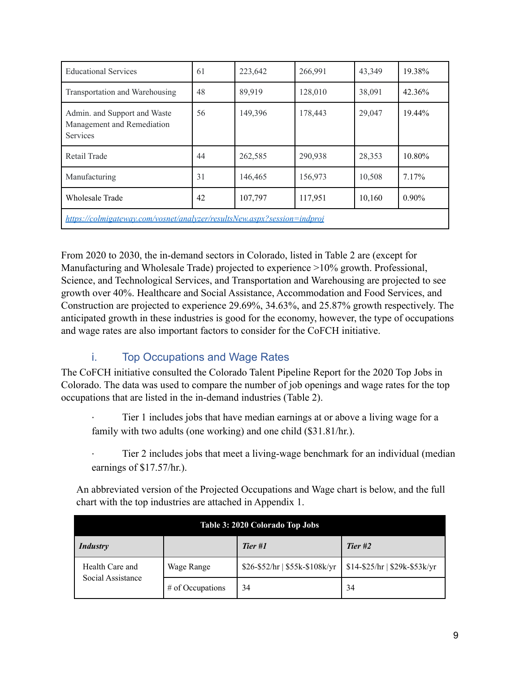| <b>Educational Services</b>                                                   | 61 | 223,642 | 266,991 | 43,349 | 19.38%   |
|-------------------------------------------------------------------------------|----|---------|---------|--------|----------|
| Transportation and Warehousing                                                | 48 | 89,919  | 128,010 | 38,091 | 42.36%   |
| Admin. and Support and Waste<br>Management and Remediation<br><b>Services</b> | 56 | 149,396 | 178,443 | 29,047 | 19.44%   |
| Retail Trade                                                                  | 44 | 262,585 | 290,938 | 28,353 | 10.80%   |
| Manufacturing                                                                 | 31 | 146,465 | 156,973 | 10,508 | $7.17\%$ |
| <b>Wholesale Trade</b>                                                        | 42 | 107,797 | 117,951 | 10,160 | $0.90\%$ |
| https://colmigateway.com/vosnet/analyzer/resultsNew.aspx?session=indproj      |    |         |         |        |          |

From 2020 to 2030, the in-demand sectors in Colorado, listed in Table 2 are (except for Manufacturing and Wholesale Trade) projected to experience >10% growth. Professional, Science, and Technological Services, and Transportation and Warehousing are projected to see growth over 40%. Healthcare and Social Assistance, Accommodation and Food Services, and Construction are projected to experience 29.69%, 34.63%, and 25.87% growth respectively. The anticipated growth in these industries is good for the economy, however, the type of occupations and wage rates are also important factors to consider for the CoFCH initiative.

# i. Top Occupations and Wage Rates

The CoFCH initiative consulted the Colorado Talent Pipeline Report for the 2020 Top Jobs in Colorado. The data was used to compare the number of job openings and wage rates for the top occupations that are listed in the in-demand industries (Table 2).

Tier 1 includes jobs that have median earnings at or above a living wage for a family with two adults (one working) and one child (\$31.81/hr.).

Tier 2 includes jobs that meet a living-wage benchmark for an individual (median earnings of \$17.57/hr.).

An abbreviated version of the Projected Occupations and Wage chart is below, and the full chart with the top industries are attached in Appendix 1.

| Table 3: 2020 Colorado Top Jobs      |                    |                                 |                                |  |  |
|--------------------------------------|--------------------|---------------------------------|--------------------------------|--|--|
| <b>Industry</b>                      | Tier #2            |                                 |                                |  |  |
| Health Care and<br>Social Assistance | Wage Range         | $$26-\$52/hr$   \$55k-\$108k/yr | $$14-\$25/hr$   \$29k-\$53k/yr |  |  |
|                                      | $#$ of Occupations | 34                              | 34                             |  |  |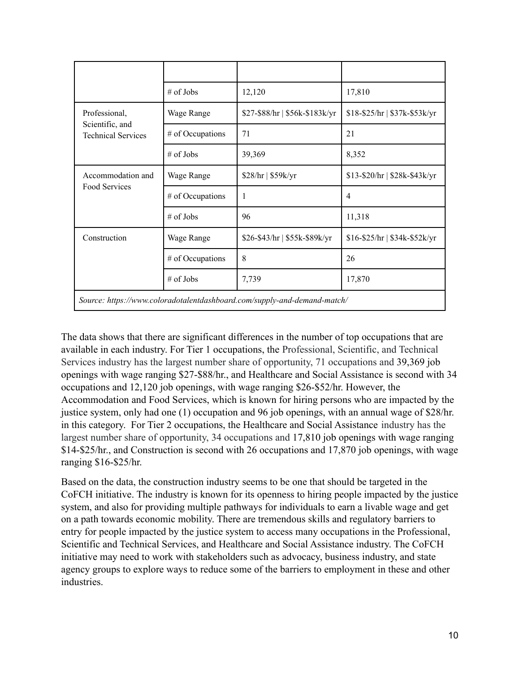|                                                                          | $#$ of Jobs      | 12,120                         | 17,810                          |  |  |
|--------------------------------------------------------------------------|------------------|--------------------------------|---------------------------------|--|--|
| Professional,                                                            | Wage Range       | \$27-\$88/hr   \$56k-\$183k/yr | $$18-\$25/hr$   $$37k-\$53k/yr$ |  |  |
| Scientific, and<br><b>Technical Services</b>                             | # of Occupations | 71                             | 21                              |  |  |
|                                                                          | $\#$ of Jobs     | 39,369                         | 8,352                           |  |  |
| Accommodation and<br>Food Services                                       | Wage Range       | \$28/hr   \$59k/yr             | \$13-\$20/hr   \$28k-\$43k/yr   |  |  |
|                                                                          | # of Occupations | 1                              | $\overline{4}$                  |  |  |
|                                                                          | $#$ of Jobs      | 96                             | 11,318                          |  |  |
| Construction                                                             | Wage Range       | \$26-\$43/hr   \$55k-\$89k/yr  | $$16-\$25/hr$   $$34k-\$52k/yr$ |  |  |
|                                                                          | # of Occupations | 8                              | 26                              |  |  |
|                                                                          | $#$ of Jobs      | 7,739                          | 17,870                          |  |  |
| Source: https://www.coloradotalentdashboard.com/supply-and-demand-match/ |                  |                                |                                 |  |  |

The data shows that there are significant differences in the number of top occupations that are available in each industry. For Tier 1 occupations, the Professional, Scientific, and Technical Services industry has the largest number share of opportunity, 71 occupations and 39,369 job openings with wage ranging \$27-\$88/hr., and Healthcare and Social Assistance is second with 34 occupations and 12,120 job openings, with wage ranging \$26-\$52/hr. However, the Accommodation and Food Services, which is known for hiring persons who are impacted by the justice system, only had one (1) occupation and 96 job openings, with an annual wage of \$28/hr. in this category. For Tier 2 occupations, the Healthcare and Social Assistance industry has the largest number share of opportunity, 34 occupations and 17,810 job openings with wage ranging \$14-\$25/hr., and Construction is second with 26 occupations and 17,870 job openings, with wage ranging \$16-\$25/hr.

Based on the data, the construction industry seems to be one that should be targeted in the CoFCH initiative. The industry is known for its openness to hiring people impacted by the justice system, and also for providing multiple pathways for individuals to earn a livable wage and get on a path towards economic mobility. There are tremendous skills and regulatory barriers to entry for people impacted by the justice system to access many occupations in the Professional, Scientific and Technical Services, and Healthcare and Social Assistance industry. The CoFCH initiative may need to work with stakeholders such as advocacy, business industry, and state agency groups to explore ways to reduce some of the barriers to employment in these and other industries.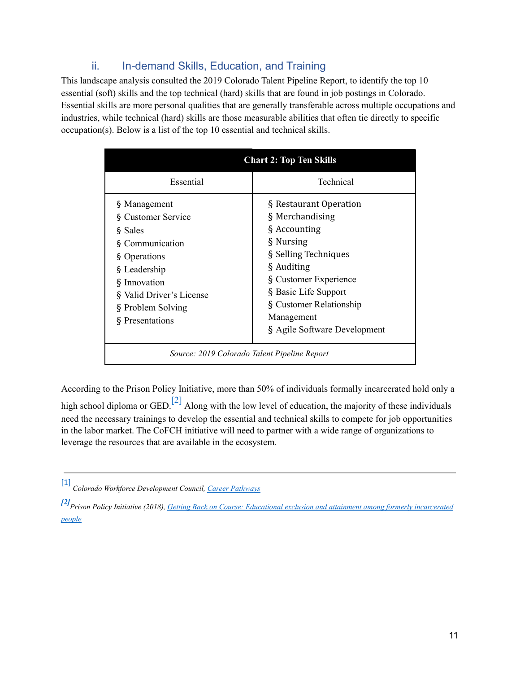# ii. In-demand Skills, Education, and Training

This landscape analysis consulted the 2019 Colorado Talent Pipeline Report, to identify the top 10 essential (soft) skills and the top technical (hard) skills that are found in job postings in Colorado. Essential skills are more personal qualities that are generally transferable across multiple occupations and industries, while technical (hard) skills are those measurable abilities that often tie directly to specific occupation(s). Below is a list of the top 10 essential and technical skills.

| <b>Chart 2: Top Ten Skills</b>                                                                                                                                                       |                                                                                                                                                                                                                                        |  |  |  |
|--------------------------------------------------------------------------------------------------------------------------------------------------------------------------------------|----------------------------------------------------------------------------------------------------------------------------------------------------------------------------------------------------------------------------------------|--|--|--|
| Essential                                                                                                                                                                            | Technical                                                                                                                                                                                                                              |  |  |  |
| § Management<br>§ Customer Service<br>§ Sales<br>§ Communication<br>§ Operations<br>§ Leadership<br>§ Innovation<br>§ Valid Driver's License<br>§ Problem Solving<br>§ Presentations | § Restaurant Operation<br>§ Merchandising<br>§ Accounting<br>§ Nursing<br>§ Selling Techniques<br>§ Auditing<br>§ Customer Experience<br>§ Basic Life Support<br>§ Customer Relationship<br>Management<br>§ Agile Software Development |  |  |  |
| Source: 2019 Colorado Talent Pipeline Report                                                                                                                                         |                                                                                                                                                                                                                                        |  |  |  |

According to the Prison Policy Initiative, more than 50% of individuals formally incarcerated hold only a

high school diploma or GED.<sup>[2]</sup> Along with the low level of education, the majority of these individuals need the necessary trainings to develop the essential and technical skills to compete for job opportunities in the labor market. The CoFCH initiative will need to partner with a wide range of organizations to leverage the resources that are available in the ecosystem.

<sup>[1]</sup> *Colorado Workforce Development Council, Career [Pathways](https://cwdc.colorado.gov/strategies/career-pathways)*

*<sup>[2]</sup>Prison Policy Initiative (2018), Getting Back on [Course: Educational exclusion and attainment among formerly incarcerated](https://www.prisonpolicy.org/reports/education.html#:~:text=Formerly%20incarcerated%20people%20are%20nearly,value%20in%20today) [people](https://www.prisonpolicy.org/reports/education.html#:~:text=Formerly%20incarcerated%20people%20are%20nearly,value%20in%20today)*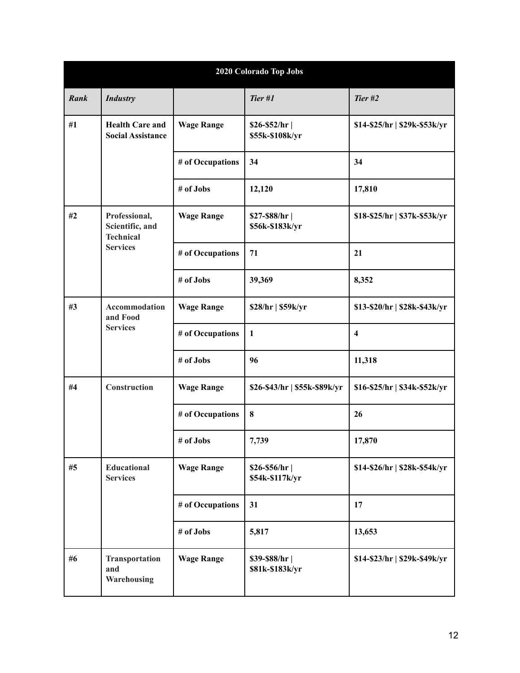| 2020 Colorado Top Jobs |                                                                         |                   |                                  |                               |  |  |
|------------------------|-------------------------------------------------------------------------|-------------------|----------------------------------|-------------------------------|--|--|
| Rank                   | <b>Industry</b>                                                         |                   | Tier #1                          | Tier #2                       |  |  |
| #1                     | <b>Health Care and</b><br><b>Social Assistance</b>                      | <b>Wage Range</b> | $$26-$52/hr$<br>\$55k-\$108k/yr  | \$14-\$25/hr   \$29k-\$53k/yr |  |  |
|                        |                                                                         | # of Occupations  | 34                               | 34                            |  |  |
|                        |                                                                         | # of Jobs         | 12,120                           | 17,810                        |  |  |
| #2                     | Professional,<br>Scientific, and<br><b>Technical</b><br><b>Services</b> | <b>Wage Range</b> | $$27-$88/hr$<br>\$56k-\$183k/yr  | \$18-\$25/hr   \$37k-\$53k/yr |  |  |
|                        |                                                                         | # of Occupations  | 71                               | 21                            |  |  |
|                        |                                                                         | # of Jobs         | 39,369                           | 8,352                         |  |  |
| #3                     | Accommodation<br>and Food<br><b>Services</b>                            | <b>Wage Range</b> | \$28/hr   \$59k/yr               | \$13-\$20/hr   \$28k-\$43k/yr |  |  |
|                        |                                                                         | # of Occupations  | $\mathbf{1}$                     | $\overline{\mathbf{4}}$       |  |  |
|                        |                                                                         | # of Jobs         | 96                               | 11,318                        |  |  |
| #4                     | Construction                                                            | <b>Wage Range</b> | \$26-\$43/hr   \$55k-\$89k/yr    | \$16-\$25/hr   \$34k-\$52k/yr |  |  |
|                        |                                                                         | # of Occupations  | 8                                | 26                            |  |  |
|                        |                                                                         | # of Jobs         | 7,739                            | 17,870                        |  |  |
| #5                     | Educational<br><b>Services</b>                                          | <b>Wage Range</b> | $$26-$56/hr$<br>\$54k-\$117k/yr  | \$14-\$26/hr   \$28k-\$54k/yr |  |  |
|                        |                                                                         | # of Occupations  | 31                               | 17                            |  |  |
|                        |                                                                         | # of Jobs         | 5,817                            | 13,653                        |  |  |
| #6                     | Transportation<br>and<br>Warehousing                                    | <b>Wage Range</b> | \$39-\$88/hr <br>\$81k-\$183k/yr | \$14-\$23/hr   \$29k-\$49k/yr |  |  |